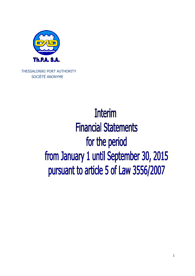

THESSALONIKI PORT AUTHORITY SOCIÉTÉ ANONYME

# **Interim Financial Statements** for the period from January 1 until September 30, 2015 pursuant to article 5 of Law 3556/2007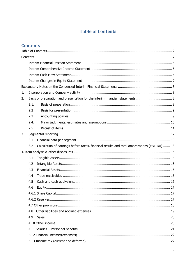# **Table of Contents**

## **Contents**

| 1. |      |                                                                                              |
|----|------|----------------------------------------------------------------------------------------------|
| 2. |      |                                                                                              |
|    | 2.1. |                                                                                              |
|    | 2.2  |                                                                                              |
|    | 2.3. |                                                                                              |
|    | 2.4. |                                                                                              |
|    | 2.5. |                                                                                              |
| 3. |      |                                                                                              |
|    | 3.1  |                                                                                              |
|    | 3.2  | Calculation of earnings before taxes, financial results and total amortizations (EBITDA)  13 |
|    |      |                                                                                              |
|    | 4.1  |                                                                                              |
|    | 4.2  |                                                                                              |
|    | 4.3  |                                                                                              |
|    | 4.4  |                                                                                              |
|    | 4.5  |                                                                                              |
|    | 4.6  |                                                                                              |
|    |      |                                                                                              |
|    |      |                                                                                              |
|    |      |                                                                                              |
|    | 4.8  |                                                                                              |
|    | 4.9  |                                                                                              |
|    |      |                                                                                              |
|    |      |                                                                                              |
|    |      |                                                                                              |
|    |      |                                                                                              |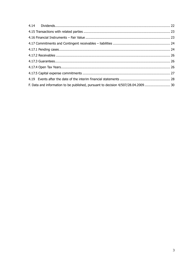| F. Data and information to be published, pursuant to decision 4/507/28.04.2009 30 |  |
|-----------------------------------------------------------------------------------|--|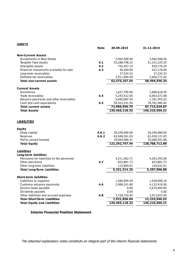#### **ASSETS**

|                                                    | <b>Note</b> | 30.09.2015       | 31.12.2014                      |
|----------------------------------------------------|-------------|------------------|---------------------------------|
| <b>Non-Current Assets</b>                          |             |                  |                                 |
| Investments in Real Estate                         |             | 3,464,508.46     | 3,464,508.46                    |
| Tangible f ked assets                              | 4.1         | 55,288,798.22    | 51,101,225.25                   |
| Intangible assets                                  | 4.2         | 742,457.14       | 818,776.29                      |
| Financial instruments available for sale           | 4.3         | 40,260.00        | 422,120.00                      |
| Long-term receivables                              |             | 27,534.32        | 27,534.32                       |
| Deferred tax receivables                           |             | 2,911,609.40     | 2,660,772.02                    |
| <b>Total non-current assets</b>                    |             | 62,475,167.54    | 58,494,936.34                   |
| <b>Current Assets</b>                              |             |                  |                                 |
| Inventories                                        |             | 1,627,709.90     | 1,688,618.45                    |
| Trade receivables                                  | 4.4         | 5,243,912.05     | 6,063,572.08                    |
| Advance payments and other receivables             |             | 6,695,087.54     | 1,181,453.52                    |
| Cash and cash equivalents                          | 4.5         | 59,423,241.30    | 78,781,985.82                   |
| <b>Total current assets</b>                        |             | 72,989,950.79    | 87,715,629.87                   |
| <b>Total Assets</b>                                |             | 135,465,118.33   | 146,210,566.21                  |
| <b>LIABILITIES</b>                                 |             |                  |                                 |
| <b>Equity</b>                                      |             |                  |                                 |
| Share capital                                      | 4.6.1       | 30,240,000.00    | 30,240,000.00                   |
| Reserves                                           | 4.6.2       | 63,048,261.03    | 63,430,121.03                   |
| Prof ts carried forward                            |             | 29,004,486.41    | 35,098,591.86<br>128,768,712.89 |
| <b>Total Equity</b>                                |             | 122, 292, 747.44 |                                 |
| <b>Liabilities</b><br><b>Long-term liabilities</b> |             |                  |                                 |
| Provisions for liabilities to the personnel        |             | 4,311,562.71     | 4,263,393.06                    |
| Other provisions                                   | 4.7         | 823,881.73       | 823,881.73                      |
| Other long-term liabilities                        |             | 115,869.81       | 120,632.01                      |
| <b>Total Long-Term Liabilities</b>                 |             | 5,251,314.25     | 5,207,906.80                    |
| <b>Short-term liabilities</b>                      |             |                  |                                 |
| Liabilities to suppliers                           |             | 1,206,094.39     | 1,528,099.16                    |
| Customer advance payments                          | 4.4         | 2,986,241.80     | 4,122,418.56                    |
| Income taxes payable                               |             | 0.00             | 2,670,404.85                    |
| Dividends payable                                  |             | 0.00             | 0.00                            |
| Other liabilities and accrued expenses             | 4.8         | 3,728,720.45     | 3,913,023.95                    |
| <b>Total Short-Term Liabilities</b>                |             | 7,921,056.64     | 12,233,946.52                   |
| <b>Total Equity and Liabilities</b>                |             | 135,465,118.33   | 146,210,566.21                  |

**Interim Financial Position Statement** 

The attached explanatory notes constitute an integral part of the interim financial statements.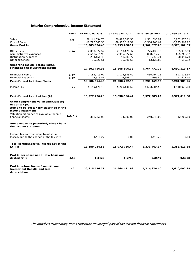## **Interim Comprehensive Income Statement**

|                                                                                                                                                                                            | <b>Notes</b> | 01.01-30.09.2015 | 01.01-30.09.2014 | 01.07-30.09.2015 | 01.07-30.09.2014 |
|--------------------------------------------------------------------------------------------------------------------------------------------------------------------------------------------|--------------|------------------|------------------|------------------|------------------|
| <b>Sales</b>                                                                                                                                                                               | 4.9          | 38,111,534.70    | 39,897,608.30    | 11,501,590.92    | 13,952,070.61    |
| Cost of Sales                                                                                                                                                                              |              | $-19,727,560.30$ | -20,902,319.39   | $-6,538,763.64$  | -6,973,967.92    |
| <b>Gross Prof ts</b>                                                                                                                                                                       |              | 18,383,974.40    | 18,995,288.91    | 4,962,827.28     | 6,978,102.69     |
| Other income                                                                                                                                                                               | 4.10         | 2,090,977.52     | 2,153,120.47     | 775,139.46       | 355,942.99       |
| Administrative expenses                                                                                                                                                                    |              | $-2,641,715.93$  | $-2,095,827.60$  | $-838,817.25$    | -675,268.97      |
| Distribution expenses                                                                                                                                                                      |              | $-294,156.43$    | $-148,288.77$    | $-121,256.71$    | 38,343.78        |
| Other expenses                                                                                                                                                                             |              | $-36,322.61$     | $-36,096.68$     | $-13,120.86$     | $-4,610.32$      |
| <b>Opearting results before Taxes,</b><br><b>Financial and Investment results</b>                                                                                                          |              |                  |                  |                  |                  |
|                                                                                                                                                                                            |              | 17,502,756.95    | 18,868,196.33    | 4,764,771.92     | 6,692,510.17     |
| Financial Income                                                                                                                                                                           | 4.12         | 1,186,413.02     | 2,173,855.40     | 466,494.25       | 591,116.69       |
| <b>Financial Expenses</b>                                                                                                                                                                  | 4.12         | $-2,515.51$      | $-3,348.77$      | $-796.50$        | $-1,637.10$      |
| Period's prof ts before Taxes                                                                                                                                                              |              | 18,686,654.46    | 21,038,702.96    | 5,230,469.67     | 7,281,989.76     |
| Income Tax                                                                                                                                                                                 | 4.13         | $-5,159,178.18$  | $-5,200,136.52$  | $-1,653,084.57$  | $-1,910,978.08$  |
| Period's prof ts net of tax (A)                                                                                                                                                            |              | 13,527,476.28    | 15,838,566.44    | 3,577,385.10     | 5,371,011.68     |
| Other comprehensive income/(losses)<br>net of $tax(B)$<br>Items to be posteriorly classif ed in the<br>income statement<br>Valuation dif ference of available for sale<br>f hancial assets | 4.3, 4.6     | $-381,860.00$    | 134,200.00       | $-240,340.00$    | $-12,200.00$     |
| Items not to be posteriorly classif ed in<br>the income statement                                                                                                                          |              |                  |                  |                  |                  |
| Income tax corresponding to actuarial<br>losses, due to the change of the tax rate                                                                                                         |              | 34,418.27        | 0.00             | 34,418.27        | 0.00             |
|                                                                                                                                                                                            |              |                  |                  |                  |                  |
| Total comprehensive income net of tax<br>$(A + B)$                                                                                                                                         |              | 13,180,034.55    | 15,972,766.44    | 3,371,463.37     | 5,358,811.68     |
| Prof ts per share net of tax, basic and<br>diluted (in $\epsilon$ )                                                                                                                        | 4.18         | 1.3420           | 1.5713           | 0.3549           | 0.5328           |
| Prof ts before Taxes, Financial and<br><b>Investment Results and total</b><br>depreciation                                                                                                 | 3.2          | 20,315,626.71    | 21,664,421.99    | 5,716,376.60     | 7,610,092.28     |

The attached explanatory notes constitute an integral part of the interim financial statements.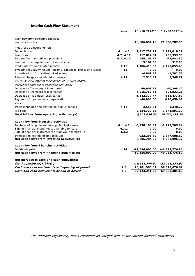## **Interim Cash Flow Statement**

|                                                                    | <b>Note</b> | 1.1 - 30.09.2015  | 1.1 - 30.09.2014   |
|--------------------------------------------------------------------|-------------|-------------------|--------------------|
| Cash flow from operating activities                                |             |                   |                    |
| Prof ts before tax                                                 |             | 18,686,654.46     | 21,038,702.96      |
| Plus / less adjustments for:                                       |             |                   |                    |
| Depreciation                                                       | 4.1, 4.2    | 2,817,739.22      | 2,798,018.21       |
| Provisions                                                         | 4.7, 4.11   | 217,824.54        | 256,393.53         |
| Income from non-utilized provisions                                | 4.7, 4.10   | $-55,105.67$      | $-25,982.80$       |
| Loss from the impairment of f ked assets                           |             | 9,187.58          | 917.90             |
| Credit interest and related income                                 | 4.12        | $-1, 186, 413.02$ | $-2, 173, 855.40$  |
| Investment activity results (income, expenses, prof ts and losses) | 4.12        | 0.00              | 0.00               |
| Amortization of subsidized fixed assets                            |             | $-4,869.46$       | $-1,792.55$        |
| Interest charges and related expenses                              | 4.12        | 2,515.51          | 3,348.77           |
| Plus/Less adjustments for changes of working capital               |             |                   |                    |
| accounts or related to operating activities:                       |             |                   |                    |
| Decrease / (Increase) of inventories                               |             | 60,908.55         | $-40,308.12$       |
| Decrease / (Increase) of receivables                               |             | $-4, 215, 769.61$ | 604,833.25         |
| Decrease of liabilities (excl. banks)                              |             | $-1,642,377.77$   | $-153,477.69$      |
| Payments for personnel compensation                                |             | $-60,000.00$      | $-196,059.68$      |
| Less:                                                              |             |                   |                    |
| Interest charges and relating paid-up expenses                     | 4.12        | $-2,515.51$       | $-3,348.77$        |
| Tax paid                                                           |             | $-8,324,739.32$   | -7,874,891.37      |
| Total inf bws from operating activities (a)                        |             | 6,303,039.50      | 14, 232, 498.24    |
| Cash f bw from investing activities                                |             |                   |                    |
| Purchase of tangible and intangible f ked assets                   | 4.1, 4.2    | $-6,938,180.62$   | -2,729,705.04      |
| Sale of f hancial instruments available for sale                   | 4.3.1       | 0.00              | 0.00               |
| Sale of f hancial instruments at fair value through P&L            | 4.3.2       | 0.00              | 0.00               |
| Interest and related income received                               |             | 932,396.60        | 1,647,608.67       |
| Net cash f bws from investing activities (b)                       |             | $-6,005,784.02$   | $-1,082,096.37$    |
| Cash f bw from f hancing activities                                |             |                   |                    |
| Dividends paid                                                     | 4.14        | $-19,656,000.00$  | -40,283,776.80     |
| Net cash f bws from f hancing activities (c)                       |             | $-19,656,000.00$  | $-40, 283, 776.80$ |
| Net increase in cash and cash equivalents                          |             |                   |                    |
| for the period $(a)+(b)+(c)$                                       |             | -19,358,744.52    | -27,133,374.93     |
| Cash and cash equivalents at beginning of period                   | 4.5         | 78,781,985.82     | 96,513,676.62      |
| Cash and cash equivalents at end of period                         | 4.5         | 59,423,241.30     | 69,380,301.69      |
|                                                                    |             |                   |                    |

The attached explanatory notes constitute an integral part of the interim financial statements.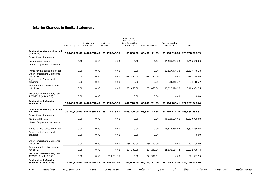## **Interim Changes in Equity Statement**

|                                                                 | Share Capital | Statutory<br>Reserve       | Untaxed<br>Reserve                       | Investments<br>Available for<br>Sale Valuation<br><b>Reserve</b> | <b>Total Reserves</b> | Prof ts carried<br>forward | Total                        |                      |             |
|-----------------------------------------------------------------|---------------|----------------------------|------------------------------------------|------------------------------------------------------------------|-----------------------|----------------------------|------------------------------|----------------------|-------------|
| <b>Equity at beginning of period</b><br>(1.1.2015)              |               | 30,240,000.00 6,060,057.47 | 57,435,943.56                            | $-65,880.00$                                                     | 63,430,121.03         |                            | 35,098,591.86 128,768,712.89 |                      |             |
| Transactions with owners                                        |               |                            |                                          |                                                                  |                       |                            |                              |                      |             |
| Distributed Dividends<br>Other changes for the period           | 0.00          | 0.00                       | 0.00                                     | 0.00                                                             | 0.00                  | $-19,656,000.00$           | -19,656,000.00               |                      |             |
| Prof ts for the period net of tax<br>Other comprehensive income | 0.00          | 0.00                       | 0.00                                     | 0.00                                                             | 0.00                  | 13,527,476.28              | 13,527,476.28                |                      |             |
| net of tax<br>Adjustment of personnel<br>provision              | 0.00<br>0.00  | 0.00<br>0.00               | 0.00<br>0.00                             | $-381,860.00$<br>0.00                                            | $-381,860.00$<br>0.00 | 0.00<br>34,418.27          | $-381,860.00$<br>34,418.27   |                      |             |
| Total comprehensive income<br>net of tax                        | 0.00          | 0.00                       | 0.00                                     | $-381,860.00$                                                    | $-381,860.00$         | 13,527,476.28              | 13,180,034.55                |                      |             |
| Tax on tax-free reserves, Law<br>4172/2013 (note 4.6.2)         | 0.00          | 0.00                       |                                          | 0.00                                                             | 0.00                  | 0.00                       | 0.00                         |                      |             |
| <b>Equity at end of period</b><br>30.09.2015                    |               | 30,240,000.00 6,060,057.47 | 57,435,943.56                            | -447,740.00                                                      | 63,048,261.03         |                            | 29,004,486.41 122,292,747.44 |                      |             |
| <b>Equity at beginning of period</b><br>1.1.2014                |               |                            | 30,240,000.00 5,020,894.54 59,128,478.01 | -195,200.00                                                      | 63,954,172.55         |                            | 54,260,712.26 148,454,884.81 |                      |             |
| Transactions with owners                                        |               |                            |                                          |                                                                  |                       |                            |                              |                      |             |
| Distributed Dividends<br>Other changes for the period           | 0.00          | 0.00                       | 0.00                                     | 0.00                                                             | 0.00                  | $-40,320,000.00$           | -40,320,000.00               |                      |             |
| Prof ts for the period net of tax                               | 0.00          | 0.00                       | 0.00                                     | 0.00                                                             | 0.00                  | 15,838,566.44              | 15,838,566.44                |                      |             |
| Adjustment of personnel<br>provision                            | 0.00          | 0.00                       | 0.00                                     | 0.00                                                             | 0.00                  |                            | 0.00                         |                      |             |
| Other comprehensive income<br>net of tax                        | 0.00          | 0.00                       | 0.00                                     | 134,200.00                                                       | 134,200.00            | 0.00                       | 134,200.00                   |                      |             |
| Total comprehensive income<br>net of tax                        | 0.00          | 0.00                       | 0.00                                     | 134,200.00                                                       | 134,200.00            | 15,838,566.44              | 15,972,766.44                |                      |             |
| Tax on tax-free reserves, Law<br>4172/2013 (note 4.6.2)         | 0.00          | 0.00                       | $-321,581.55$                            | 0.00                                                             | $-321,581.55$         | 0.00                       | $-321,581.55$                |                      |             |
| <b>Equity at end of period</b><br>30.09.2014 (Unaudited)        |               | 30,240,000.00 5,020,894.54 | 58,806,896.46                            | -61,000.00                                                       | 63,766,791.00         |                            | 29,779,278.70 123,786,069.70 |                      |             |
| The<br>attached                                                 | explanatory   | notes                      | constitute                               | an                                                               | integral              | оf<br>part                 | the                          | interim<br>financial | statements. |

7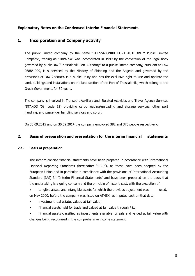## **Explanatory Notes on the Condensed Interim Financial Statements**

## **1. Incorporation and Company activity**

The public limited company by the name "THESSALONIKI PORT AUTHORITY Public Limited Company", trading as "ThPA SA" was incorporated in 1999 by the conversion of the legal body governed by public law "Thessaloniki Port Authority" to a public limited company, pursuant to Law 2688/1999, is supervised by the Ministry of Shipping and the Aegean and governed by the provisions of Law 2688/89, is a public utility and has the exclusive right to use and operate the land, buildings and installations on the land section of the Port of Thessaloniki, which belong to the Greek Government, for 50 years.

The company is involved in Transport Auxiliary and Related Activities and Travel Agency Services (STAKOD '08, code 52) providing cargo loading/unloading and storage services, other port handling, and passenger handling services and so on.

On 30.09.2015 and on 30.09.2014 the company employed 382 and 373 people respectively.

## **2. Basis of preparation and presentation for the interim financial statements**

## **2.1. Basis of preparation**

The interim concise financial statements have been prepared in accordance with International Financial Reporting Standards (hereinafter "IFRS"), as these have been adopted by the European Union and in particular in compliance with the provisions of International Accounting Standard (IAS) 34 "Interim Financial Statements" and have been prepared on the basis that the undertaking is a going concern and the principle of historic cost, with the exception of:

tangible assets and intangible assets for which the previous adjustment was used, on May 2000, before the company was listed on ATHEX, as imputed cost on that date;

- investment real estate, valued at fair value;
- financial assets held for trade and valued at fair value through P&L;
- financial assets classified as investments available for sale and valued at fair value with changes being recognized in the comprehensive income statement.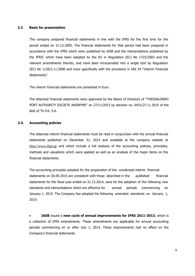#### **2.2 Basis for presentation**

The company prepared financial statements in line with the IFRS for the first time for the period ended on 31.12.2005. The financial statements for that period had been prepared in accordance with the IFRS which were published by IASB and the interpretations published by the IFRIC which have been adopted by the EU in Regulation (EC) No 1725/2003 and the relevant amendments thereto, and have been incorporated into a single text by Regulation (EC) No 1126/3.11.2008 and more specifically with the provisions in IAS 34 "Interim Financial Statements".

The interim financial statements are presented in Euro.

The attached financial statements were approved by the Board of Directors of "THESSALONIKI PORT AUTHORITY SOCIETE ANONYME" on 27/11/2015 by decision no. 6431/27.11.2015 of the BoD of Th.P.A. S.A.

#### **2.3. Accounting policies**

The attached interim financial statements must be read in conjunction with the annual financial statements published on December 31, 2014 and available at the company website at http://www.thpa.gr and which include a full analysis of the accounting policies, principles, methods and valuations which were applied as well as an analysis of the major items on the financial statements.

The accounting principles adopted for the preparation of the condensed interim financial statements on 30.09.2015 are consistent with those described in the published financial statements for the fiscal year ended on 31.12.2014, save for the adoption of the following new standards and interpretations which are effective for annual periods commencing on January 1, 2015. The Company has adopted the following amended standards on January 1, 2015:

• **IASB** issued a **new cycle of annual improvements for IFRS 2011-2013**, which is a collection of IFRS amendments. These amendments are applicable for annual accounting periods commencing on or after July 1, 2014. These improvements had no effect on the Company's financial statements.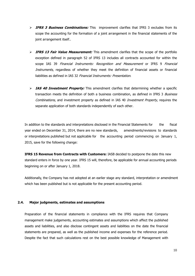- **IFRS 3 Business Combinations:** This improvement clarifies that IFRS 3 excludes from its scope the accounting for the formation of a joint arrangement in the financial statements of the joint arrangement itself..
- > **IFRS 13 Fair Value Measurement:** This amendment clarifies that the scope of the portfolio exception defined in paragraph 52 of IFRS 13 includes all contracts accounted for within the scope IAS 39 Financial Instruments: Recognition and Measurement or IFRS 9 Financial Instruments, regardless of whether they meet the definition of financial assets or financial liabilities as defined in IAS 32 Financial Instruments: Presentation.
- **IAS 40 Investment Property:** This amendment clarifies that determining whether a specific transaction meets the definition of both a business combination, as defined in IFRS 3 Business Combinations, and investment property as defined in IAS 40 Investment Property, requires the separate application of both standards independently of each other.

In addition to the standards and interpretations disclosed in the Financial Statements for the fiscal year ended on December 31, 2014, there are no new standards, amendments/revisions to standards or interpretations published but not applicable for the accounting period commencing on January 1, 2015, save for the following change:

**IFRS 15 Revenue from Contracts with Customers:** IASB decided to postpone the date this new standard enters in force by one year. IFRS 15 will, therefore, be applicable for annual accounting periods beginning on or after January 1, 2018.

Additionally, the Company has not adopted at an earlier stage any standard, interpretation or amendment which has been published but is not applicable for the present accounting period.

#### **2.4. Major judgments, estimates and assumptions**

Preparation of the financial statements in compliance with the IFRS requires that Company management make judgements, accounting estimates and assumptions which affect the published assets and liabilities, and also disclose contingent assets and liabilities on the date the financial statements are prepared, as well as the published income and expenses for the reference period. Despite the fact that such calculations rest on the best possible knowledge of Management with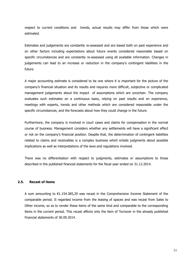respect to current conditions and trends, actual results may differ from those which were estimated.

Estimates and judgements are constantly re-assessed and are based both on past experience and on other factors including expectations about future events considered reasonable based on specific circumstances and are constantly re-assessed using all available information. Changes in judgements can lead to an increase or reduction in the company's contingent liabilities in the future.

A major accounting estimate is considered to be one where it is important for the picture of the company's financial situation and its results and requires more difficult, subjective or complicated management judgements about the impact of assumptions which are uncertain. The company evaluates such estimates on a continuous basis, relying on past results and on experience, meetings with experts, trends and other methods which are considered reasonable under the specific circumstances, and the forecasts about how they could change in the future.

Furthermore, the company is involved in court cases and claims for compensation in the normal course of business. Management considers whether any settlements will have a significant effect or not on the company's financial position. Despite that, the determination of contingent liabilities related to claims and receivables is a complex business which entails judgments about possible implications as well as interpretations of the laws and regulations involved.

There was no differentiation with respect to judgments, estimates or assumptions to those described in the published financial statements for the fiscal year ended on 31.12.2014.

#### **2.5. Recast of items**

A sum amounting to €1.154.385,29 was recast in the Comprehensive Income Statement of the comparable period. It regarded income from the leasing of spaces and was recast from Sales to Other income, so as to render these items of the same kind and comparable to the corresponding items in the current period. This recast affects only the item of Turnover in the already published financial statements of 30.09.2014.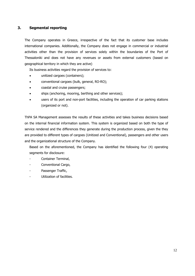## **3. Segmental reporting**

The Company operates in Greece, irrespective of the fact that its customer base includes international companies. Additionally, the Company does not engage in commercial or industrial activities other than the provision of services solely within the boundaries of the Port of Thessaloniki and does not have any revenues or assets from external customers (based on geographical territory in which they are active)

Its business activities regard the provision of services to:

- unitized cargoes (containers);
- conventional cargoes (bulk, general, RO-RO);
- coastal and cruise passengers;
- ships (anchoring, mooring, berthing and other services);
- users of its port and non-port facilities, including the operation of car parking stations (organized or not).

ThPA SA Management assesses the results of these activities and takes business decisions based on the internal financial information system. This system is organized based on both the type of service rendered and the differences they generate during the production process, given the they are provided to different types of cargoes (Unitized and Conventional), passengers and other users and the organizational structure of the Company.

Based on the aforementioned, the Company has identified the following four (4) operating segments for disclosure:

- Container Terminal,
- Conventional Cargo,
- Passenger Traffic,
- Utilization of facilities.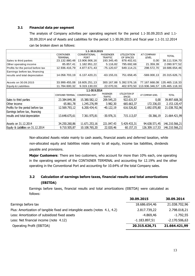#### **3.1 Financial data per segment**

The analysis of Company activities per operating segment for the period 1.1-30.09.2015 and 1.1- 30.09.2014 and of Assets and Liabilities for the period 1.1-30.09.2015 and fiscal year 1.1-31.12.2014 can be broken down as follows:

| 1.1-30.9.2015                      |                    |                          |                                    |                                 |                  |                |
|------------------------------------|--------------------|--------------------------|------------------------------------|---------------------------------|------------------|----------------|
|                                    | <b>CONTAINER</b>   | CONVENTIONAL             | <b>PASSENGER</b>                   | <b>UTILIZATION</b>              | AT COMPANY       | <b>TOTAL</b>   |
|                                    | <b>TERMINAL</b>    | <b>PORT</b>              | <b>TRAFFIC</b>                     | OF SPACES                       | <b>LEVEL</b>     |                |
| Sales to third parties             | 23.132.880,48      | 13.906.906,16            | 193.345,45                         | 878.402,61                      | 0,00             | 38.111.534,70  |
| Other operating income             | 85.857,41          | 1.182.951,22             | 5.116,82                           | 795.692,68                      | 21.359,39        | 2.090.977,52   |
| Profits for the period before tax  | 12.936.416,79      | 4.877.671,43             | $-75.120.67$                       | 649.114,21                      | 298.572,70       | 18.686.654,46  |
| Earnings before tax, financing     |                    |                          |                                    |                                 |                  |                |
| results and total depreciation     | 14.058.703,19      | 6.137.420,21             | $-63.155.01$                       | 751.658,45                      | $-569.000, 13$   | 20.315.626,71  |
|                                    |                    |                          |                                    |                                 |                  |                |
| Assets on 30.09.2015               | 33.999.455,08      | 18.605.251,13            | 300.167,88                         | 5.392.576,16                    | 77.167.668,08    | 135.465.118,33 |
| Equity & Liabilities               | 11.784.600,32      | 9.319.130,03             | 22.070,91                          | 402.970,50                      | 113.936.346,57   | 135.465.118,33 |
|                                    |                    | 1.1-30.9.2014            |                                    |                                 |                  |                |
|                                    | CONTAINER TERMINAL | <b>CONVENTIONAL PORT</b> | <b>PASSENGER</b><br><b>TRAFFIC</b> | UTILIZATION OF<br><b>SPACES</b> | AT COMPANY LEVEL | <b>TOTAL</b>   |
| Sales to third parties             | 23.384.849,38      | 15.380.582,12            | 209.545,23                         | 922.631,57                      | 0,00             | 39.897.608,30  |
| IOther income                      | 65.861,78          | 1.245.276,99             | 3.982,30                           | 665.663,37                      | 172.336,03       | 2.153.120,47   |
| Profits for the period before tax  | 12.569.793,12      | 6.200.434,41             | $-40.122,19$                       | 616.526,82                      | 1.692.070,80     | 21.038.702,96  |
| Earnings before tax, financing     |                    |                          |                                    |                                 |                  |                |
| results and total depreciation     | 13.648.675,61      | 7.361.975,81             | $-30.976,31$                       | 715.113,07                      | $-30.366,19$     | 21.664.421,99  |
|                                    |                    |                          |                                    |                                 |                  |                |
| Assets on 31.12.2014               | 34.250.260,86      | 11.671.253,16            | 221.047,43                         | 5.429.433,31                    | 94.638.571,45    | 146.210.566,21 |
| Equity & Liabilities on 31.12.2014 | 9.710.505,87       | 10.108.765,20            | 22.020,46                          | 60.157,15                       | 126.309.117,53   | 146.210.566,21 |

 Non-allocated Assets relate mainly to cash assets, financial assets and deferred taxation, while non-allocated equity and liabilities relate mainly to all equity, income tax liabilities, dividends payable and provisions.

**Major Customers**: There are two customers, who account for more than 10% each, one operating in the operating segment of the CONTAINER TERMINAL and accounting for 12.19% and the other operating in the Conventional Port and accounting for 10.64% of the total Company sales.

## **3.2 Calculation of earnings before taxes, financial results and total amortizations (EBITDA)**

Earnings before taxes, financial results and total amortizations (EBITDA) were calculated as follows:

|                                                                             | 30.09.2015      | 30.09.2014      |
|-----------------------------------------------------------------------------|-----------------|-----------------|
| Earnings before tax                                                         | 18.686.654,46   | 21.038.702,96   |
| Plus: Amortization of tangible fixed and intangible assets (notes 4.1, 4.2) | 2.817.739,22    | 2.798.018,21    |
| Less: Amortization of subsidized fixed assets                               | $-4.869,46$     | $-1.792,55$     |
| Less: Net financial income (note 4.12)                                      | $-1.183.897,51$ | $-2.170.506,63$ |
| Operating Profit (EBITDA)                                                   | 20.315.626,71   | 21.664.421,99   |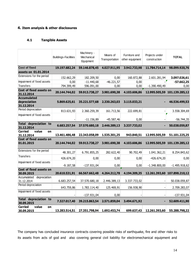## **4. Item analysis & other disclosures**

## **4.1 Tangible Assets**

|                                                                       | <b>Buildings-Facilities</b> | Machinery -<br>Mechanical<br>Equipment | Means of<br>Transportation | Furniture and<br>other equipment | Projects under<br>construction   | <b>TOTAL</b>                 |
|-----------------------------------------------------------------------|-----------------------------|----------------------------------------|----------------------------|----------------------------------|----------------------------------|------------------------------|
| <b>Cost of fixed</b>                                                  | 19.197.682,24               | 59.146.878,45                          | 4.027.911,95               | 3.942.733,98                     | 11.784.714,14                    | 98.099.920,76                |
| assets on 01.01.2014                                                  |                             |                                        |                            |                                  |                                  |                              |
| Extensions for the period                                             | 152.662,29                  | 182.209,50                             | 0,00                       | 160.872,88                       | 2.601.281,94                     | 3.097.026,61                 |
| Impairment of fixed assets                                            | 0,00                        | $-11.440,68$                           | $-46.221,57$               | 0,00                             |                                  | $-57.662,25$                 |
| <b>Transfers</b>                                                      | 794.399,49                  | 596.091,00                             | 0,00                       | 0,00                             | $-1.390.490,49$                  | 0,00                         |
| Cost of fixed assets on<br>31.12.2014                                 | 20.144.744,02               | 59.913.738,27                          | 3.981.690,38               | 4.103.606,86                     |                                  | 12.995.505,59 101.139.285,12 |
| <b>Accumulated</b>                                                    |                             |                                        |                            |                                  |                                  |                              |
| depreciation<br>31.12.2014                                            | 5.869.625,61                | 35.221.577,68                          | 2.330.263,03               | 3.115.033,21                     |                                  | 46.536.499,53                |
| Period depreciation                                                   | 813.631,93                  | 2.360.259,39                           | 161.713,56                 | 222.699,81                       |                                  | 3.558.304,69                 |
| Impairment of fixed assets                                            |                             |                                        |                            |                                  |                                  |                              |
|                                                                       |                             | $-11.156,89$                           | $-45.587,46$               | 0,00                             |                                  | $-56.744,35$                 |
| <b>Total depreciation to</b><br>31.12.2014                            | 6.683.257,54                | 37.570.680,18                          | 2.446.389,13               | 3.337.733,02                     |                                  | 50.038.059,87                |
| <b>Carried</b><br>value<br>on<br>31.12.2014                           | 13.461.486,48               | 22.343.058,09                          | 1.535.301,25               | 943.840,51                       | 12.995.505,59                    | 51.101.225,25                |
| Cost of fixed assets on<br>01.01.2015                                 | 20.144.744,02               | 59.913.738,27                          | 3.981.690,38               | 4.103.606,86                     |                                  | 12.995.505,59 101.139.285,12 |
| Extensions for the period                                             | 48.301,27                   | 6.791.855,25                           |                            |                                  |                                  |                              |
| <b>Transfers</b>                                                      |                             |                                        | 282.622,40                 | 90.702,49                        | 1.041.362,21                     | 8.254.843,62                 |
|                                                                       |                             |                                        |                            | 0,00                             |                                  |                              |
| Impairment of fixed assets                                            | 426.674,20<br>$-9.187,58$   | 0,00<br>$-137.931,04$                  | 0,00<br>0,00               | 0,00                             | $-426.674,20$<br>$-1.348.800,00$ | 0,00<br>$-1.495.918,62$      |
| Cost of fixed assets on<br>30.09.2015                                 | 20.610.531,91               | 66.567.662,48                          | 4.264.312,78               | 4.194.309,35                     |                                  | 12.261.393,60 107.898.210,12 |
| Accumulated<br>depreciation                                           |                             |                                        |                            |                                  |                                  |                              |
| 31.12.2014                                                            | 6.683.257,54                | 37.570.680,18                          | 2.446.389,13               | 3.337.733,02                     |                                  | 50.038.059,87                |
| Period depreciation                                                   | 643.759,86                  | 1.783.114,40                           | 125.469,91                 | 156.938,90                       |                                  | 2.709.283,07                 |
| Impairment of fixed assets                                            |                             | $-137.931,04$                          | 0,00                       |                                  |                                  | $-137.931,04$                |
| <b>Total depreciation to</b><br>30.09.2015<br><b>Carried</b><br>value | 7.327.017,40                | 39.215.863,54                          | 2.571.859,04               | 3.494.671,92                     |                                  | 52.609.411,90                |

The company has concluded insurance contracts covering possible risks of earthquake, fire and other risks to its assets from acts of god and also covering general civil liability for electromechanical equipment and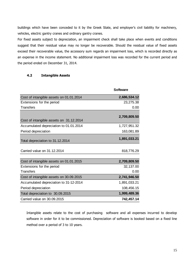buildings which have been conceded to it by the Greek State, and employer's civil liability for machinery, vehicles, electric gantry cranes and ordinary gantry cranes.

For fixed assets subject to depreciation, an impairment check shall take place when events and conditions suggest that their residual value may no longer be recoverable. Should the residual value of fixed assets exceed their recoverable value, the accessory sum regards an impairment loss, which is recorded directly as an expense in the income statement. No additional impairment loss was recorded for the current period and the period ended on December 31, 2014.

## **4.2 Intangible Assets**

|                                         | <b>Software</b> |
|-----------------------------------------|-----------------|
| Cost of intangible assets on 01.01.2014 | 2,686,534.12    |
| Extensions for the period               | 23,275.38       |
| <b>Transfers</b>                        | 0.00            |
|                                         |                 |
| Cost of intangible assets on 31.12.2014 | 2,709,809.50    |
| Accumulated depreciation to 01.01.2014  | 1,727,951.32    |
| Period depreciation                     | 163,081.89      |
| Total depreciation to 31.12.2014        | 1,891,033.21    |
| Carried value on 31.12.2014             | 818,776.29      |
| Cost of intangible assets on 01.01.2015 | 2,709,809.50    |
| Extensions for the period               | 32,137.00       |
| <b>Transfers</b>                        | 0.00            |
| Cost of intangible assets on 30.09.2015 | 2,741,946.50    |
| Accumulated depreciation to 31-12-2014  | 1,891,033.21    |
| Period depreciation                     | 108,456.15      |
| Total depreciation to 30.09.2015        | 1,999,489.36    |
| Carried value on 30.09.2015             | 742,457.14      |

Intangible assets relate to the cost of purchasing software and all expenses incurred to develop software in order for it to be commissioned. Depreciation of software is booked based on a fixed line method over a period of 3 to 10 years.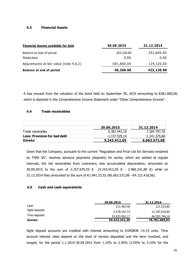## **4.3 Financial Assets**

| <b>Financial Assets available for Sale</b> | 30.09.2015  | 31.12.2014 |
|--------------------------------------------|-------------|------------|
| Balance at start of period                 | 422,120.00  | 292,800.00 |
| <b>Reductions</b>                          | 0.00        | 0.00       |
| Adjustments at fair value (note 4.6.2)     | -381,860.00 | 129,320.00 |
| <b>Balance at end of period</b>            | 40,260.00   | 422,120.00 |

A loss ensued from the valuation of the bond held on September 30, 2015 amounting to €381.860,00, which is depicted in the Comprehensive Income Statement under "Other Comprehensive Income".

## **4.4 Trade receivables**

|                                     | 30.09.2015    | 31.12.2014      |
|-------------------------------------|---------------|-----------------|
| Trade receivables                   | 6.381.441,19  | 7.204.797,76    |
| <b>Less: Provision for bad debt</b> | -1.137.529.14 | $-1.141.225,68$ |
| Σύνολο                              | 5.243.912,05  | 6.063.572,08    |

Given that the Company, pursuant to the current "Regulation and Price-List for Services rendered by ThPA SA", receives advance payments (deposits) for works, which are settled at regular intervals, the net receivables from customers, less accumulated depreciation, amounted on 30.09.2015 to the sum of 2.257.670,25 € (5.243.912,05 € - 2.986.241,80 €) while on 31.12.2014 they amounted to the sum of €1.941.15,52 (€6.063.572,08 - €4.122.418,56).

#### **4.5 Cash and cash equivalents**

|                | 30.09.2015    | 31.12.2014    |
|----------------|---------------|---------------|
| Cash           | 211.481,40    | 121.223,82    |
| Sight deposits | 5.578.197,73  | 12.107.015,84 |
| Time deposits  | 53.633.562,17 | 66.553.746,16 |
| Σύνολο         | 59.423.241,30 | 78.781.985,82 |

Sight deposit accounts are credited with interest amounting to EURIBOR +0.15 units. Time account interest rates depend on the level of monies deposited and the term involved, and ranged, for the period 1.1.2015-30.09.2015 from 1.10% to 2.50% (2.05% to 3.10% for the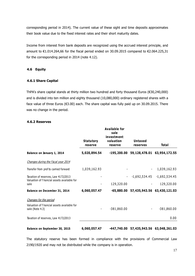corresponding period in 2014). The current value of these sight and time deposits approximates their book value due to the fixed interest rates and their short maturity dates.

Income from interest from bank deposits are recognized using the accrued interest principle, and amount to €1.014.264,66 for the fiscal period ended on 30.09.2015 compared to €2.064.225,31 for the corresponding period in 2014 (note 4.12).

#### **4.6 Equity**

#### **4.6.1 Share Capital**

ThPA's share capital stands at thirty million two hundred and forty thousand Euros (€30,240,000) and is divided into ten million and eighty thousand (10,080,000) ordinary registered shares with a face value of three Euros (€3.00) each. The share capital was fully paid up on 30.09.2015. There was no change in the period.

#### **4.6.2 Reserves**

|                                                                                    |                             | <b>Available for</b><br>sale<br>investment |                            |                             |
|------------------------------------------------------------------------------------|-----------------------------|--------------------------------------------|----------------------------|-----------------------------|
|                                                                                    | <b>Statutory</b><br>reserve | valuation<br>reserve                       | <b>Untaxed</b><br>reserves | <b>Total</b>                |
| Balance on January 1, 2014                                                         | 5,020,894.54                |                                            | -195,200.00 59,128,478.01  | 63,954,172.55               |
| Changes during the f scal year 2014                                                |                             |                                            |                            |                             |
| Transfer from prof ts carried forward                                              | 1,039,162.93                |                                            |                            | 1,039,162.93                |
| Taxation of reserves, Law 4172/2013<br>Valuation of f hancial assets available for |                             |                                            | $-1,692,534.45$            | -1,692,534.45               |
| sale                                                                               |                             | 129,320.00                                 |                            | 129,320.00                  |
| Balance on December 31, 2014                                                       | 6,060,057.47                | -65,880.00                                 |                            | 57,435,943.56 63,430,121.03 |
| Changes for the period                                                             |                             |                                            |                            |                             |
| Valuation of f hancial assets available for<br>sale (Note 4.3)                     |                             | $-381,860.00$                              |                            | $-381,860.00$               |
| Taxation of reserves, Law 4172/2013                                                |                             |                                            |                            | 0.00                        |
| Balance on September 30, 2015                                                      | 6,060,057.47                | -447,740.00                                |                            | 57,435,943.56 63,048,261.03 |

The statutory reserve has been formed in compliance with the provisions of Commercial Law 2190/1920 and may not be distributed while the company is in operation.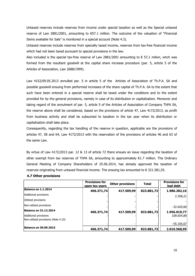Untaxed reserves include reserves from income under special taxation as well as the Special untaxed reserve of Law 2881/2001, amounting to €57.1 million. The outcome of the valuation of "Financial Items avaliable for Sale" is monitored in a special account (Note 4.3).

Untaxed reserves include reserves from specially taxed income, reserves from tax-free financial income which had not been taxed pursuant to special provisions in the law.

Also included is the special tax-free reserve of Law 2881/2001 amounting to  $\epsilon$  57,1 milion, whch was formed from the resultant goodwill at the capital share increase procedure (par. 5, article 5 of the Articles of Association, Law 2688/1999).

Law 4152/09.05.2013 annulled par. 5 in article 5 of the Articles of Association of Th.P.A. SA and possible goodwill ensuing from performed increases of the share capital of Th.P.A. SA to the extent that such have been entered in a special reserve shall be taxed under the conditions and to the extent provided for by the general provisions, namely in case of its distribution or capitalization. Moreover and taking regard of the annulment of par. 5, article 5 of the Articles of Association of Company ThPA SA, the reserve above shall be considered, based on the provisions of article 47, Law 4172/2013, as profit from business activity and shall be subsumed to taxation in the tax year when its distribution or capitalization shall take place.

Consequently, regarding the tax handling of the reserve in question, applicable are the provisions of articles 47, 58 and 64, Law 4172/2013 with the reservation of the provisions of articles 46 and 63 of the same Law.

By virtue of Law 4172/2013 par. 12 & 13 of article 72 there ensues an issue regarding the taxation of other exempt from tax reserves of ThPA SA, amounting to approximately €1.7 million. The Ordinary General Meeting of Company Shareholders of 25.06.2014, has already approved the taxation of reserves originating from untaxed financial income. The ensuing tax amounted to  $\epsilon$  321.581,55.

|                                                              | <b>Provisions for</b><br>open tax years | <b>Other provisions</b> | <b>Total</b> | <b>Provisions for</b><br>bad debt |
|--------------------------------------------------------------|-----------------------------------------|-------------------------|--------------|-----------------------------------|
| Balance on 1.1.2014                                          | 406.371,74                              | 417.509,99              | 823.881,73   | 1.986.282,16                      |
| Additional provisions                                        |                                         |                         |              | 2.358,21                          |
| Utilized provisions                                          |                                         |                         |              |                                   |
| Non-utilized provisions                                      |                                         |                         |              | $-32.620,60$                      |
| <b>Balance on 31.12.2014</b>                                 | 406.371,74                              | 417.509,99              | 823.881,73   | 1.956.019,77                      |
| Additional provisions<br>Non-utilized provisions (Note 4.10) |                                         |                         |              | 109.654,89                        |
|                                                              |                                         |                         |              | $-55.105,67$                      |
| <b>Balance on 30.09.2015</b>                                 | 406.371,74                              | 417.509,99              | 823.881,73   | 2.010.568,99                      |

#### **4.7 Other provisions**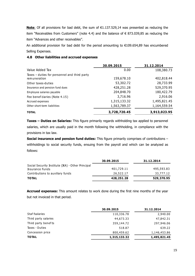**Note:** Of all provisions for bad debt, the sum of €1.137.529,14 was presented as reducing the item "Receivables from Customers" (note 4.4) and the balance of € 873.039,85 as reducing the item "Advances and other receivables".

An additional provision for bad debt for the period amounting to €109.654,89 has encumbered Selling Expenses.

#### **4.8 Other liabilities and accrued expenses**

|                                                               | 30.09.2015   | 31.12.2014   |
|---------------------------------------------------------------|--------------|--------------|
| Value Added Tax                                               | 0.00         | 108,380.73   |
| Taxes - duties for personnel and third party<br>rem uneration | 159,678.10   | 402,818.44   |
| Other taxes-duties                                            | 53,302.72    | 28,733.99    |
| Insurance and pension fund dues                               | 428,251.28   | 529,370.95   |
| Employee salaries payable                                     | 204,848.70   | 180,422.79   |
| Fee benef ciaries (Note 4.15)                                 | 3,716.96     | 2,916.06     |
| Accrued expenses                                              | 1,315,133.32 | 1,495,821.45 |
| Other short-term liabilities                                  | 1,563,789.37 | 1,164,559.54 |
| <b>TOTAL</b>                                                  | 3,728,720.45 | 3,913,023.95 |

**Taxes – Duties on Salaries:** This figure primarily regards withholding tax applied to personnel salaries, which are usually paid in the month following the withholding, in compliance with the provisions in tax law.

**Social insurance and pension fund duties:** This figure primarily comprises of contributions – withholdings to social security funds, ensuing from the payroll and which can be analyzed as follows:

|                                                   | 30.09.2015 | 31.12.2014 |
|---------------------------------------------------|------------|------------|
| Social Security Institute (IKA) - Other Principal |            |            |
| Insurance Funds                                   | 401,729.11 | 495,593.83 |
| Contributions to auxiliary funds                  | 26,522.17  | 33,777.12  |
| <b>TOTAL</b>                                      | 428,251.28 | 529,370.95 |

**Accrued expenses:** This amount relates to work done during the first nine months of the year but not invoiced in that period.

|                      | 30.09.2015   | 31.12.2014   |
|----------------------|--------------|--------------|
| Staf fsalaries       | 110,336.78   | 2,940.00     |
| Third party salaries | 44,673.33    | 47,842.31    |
| Third party benef ts | 359,144.72   | 297,946.06   |
| Taxes - Duties       | 518.87       | 639.22       |
| Concession price     | 800,459.62   | 1,146,453.86 |
| <b>TOTAL</b>         | 1,315,133.32 | 1,495,821.45 |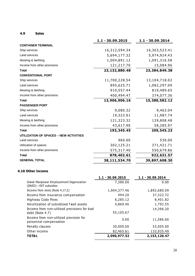#### **4.9 Sales**

|                                        | 1.1 - 30.09.2015 | 1.1 - 30.09.2014 |
|----------------------------------------|------------------|------------------|
| <b>CONTAINER TERMINAL</b>              |                  |                  |
| Ship services                          | 16,312,594.34    | 16,303,523.41    |
| Land services                          | 5,694,177.32     | 5,974,924.43     |
| Mooring & berthing                     | 1,004,891.12     | 1,091,316.58     |
| Income from other provisions           | 121,217.70       | 15,084.96        |
| <b>Total</b>                           | 23,132,880.48    | 23,384,849.38    |
| <b>CONVENTIONAL PORT</b>               |                  |                  |
| Ship services                          | 11,700,228.54    | 13,104,718.02    |
| Land services                          | 895,625.71       | 1,082,297.09     |
| Mooring & berthing                     | 910,557.44       | 819,489.65       |
| Income from other provisions           | 400,494.47       | 374,077.36       |
| <b>Total</b>                           | 13,906,906.16    | 15,380,582.12    |
| <b>PASSENGER PORT</b>                  |                  |                  |
| Ship services                          | 9,080.32         | 9,463.04         |
| Land services                          | 19,323.91        | 11,987.74        |
| Mooring & berthing                     | 121,323.32       | 129,808.48       |
| Income from other provisions           | 43,617.90        | 58,285.97        |
| <b>Total</b>                           | 193,345.45       | 209,545.23       |
| UTILIZATION OF SPACES - NEW ACTIVITIES |                  |                  |
| Land services                          | 960.00           | 530.00           |
| Utilization of spaces                  | 302,125.21       | 371,421.71       |
| Income from other provisions           | 575,317.40       | 550,679.86       |
| <b>Total</b>                           | 878,402.61       | 922,631.57       |
| <b>GENERAL TOTAL</b>                   | 38,111,534.70    | 39,897,608.30    |

#### **4.10 Other income**

|                                                                   | 1.1 - 30.09.2015 | 1.1 - 30.09.2014 |
|-------------------------------------------------------------------|------------------|------------------|
| Greek Manpower Employement Organization<br>(OAED) - EKT subsidies | 7,380.00         | 0.00             |
| Income from rents (Note 4.17.2)                                   | 1,904,377.46     | 1,892,680.09     |
| Income from insurance compensation                                | 494.20           | 37,322.72        |
| Highway Code Fines                                                | 6,285.12         | 8,401.82         |
| Amortization of subsidized fixed assets                           | 4,869.46         | 1,792.55         |
| Income from non-utilized provisions for bad<br>debt (Note 4.7)    | 55,105.67        | 14,396.20        |
| Income from non-utilized provision for<br>personnel compensation  | 0.00             | 11,586.60        |
| Penalty clauses                                                   | 30,000.00        | 53,005.00        |
| Other income                                                      | 82,465.61        | 133,935.49       |
| <b>TOTAL</b>                                                      | 2,090,977.52     | 2,153,120.47     |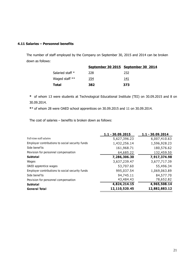#### **4.11 Salaries – Personnel benefits**

The number of staff employed by the Company on September 30, 2015 and 2014 can be broken down as follows:

|                  |             | September 30 2015 September 30 2014 |
|------------------|-------------|-------------------------------------|
| Salaried staff * | 228         | 232                                 |
| Waged staff **   | <u> 154</u> | 141                                 |
| Total            | 382         | 373                                 |

**\*** of whom 13 were students at Technological Educational Institute (TEI) on 30.09.2015 and 8 on 30.09.2014.

**\***\* of whom 28 were OAED school apprentices on 30.09.2015 and 11 on 30.09.2014.

The cost of salaries – benefits is broken down as follows:

|                                                 | 1.1 - 30.09.2015 | 1.1 - 30.09.2014 |
|-------------------------------------------------|------------------|------------------|
| Full-time staff salaries                        | 5,627,396.23     | 6,007,410.63     |
| Employer contributions to social security funds | 1,432,256.14     | 1,596,928.23     |
| Side benef ts                                   | 161,968.71       | 180,576.62       |
| Provision for personnel compensation            | 64,685.22        | 132,459.50       |
| <b>Subtotal</b>                                 | 7,286,306.30     | 7,917,374.98     |
| Wages                                           | 3,637,239.47     | 3,677,717.39     |
| OAED apprentice wages                           | 53,707.60        | 55,496.34        |
| Employer contributions to social security funds | 995,037.54       | 1,069,063.89     |
| Side benef ts                                   | 94,745.11        | 84,577.70        |
| Provision for personnel compensation            | 43,484.43        | 78,652.82        |
| <b>Subtotal</b>                                 | 4,824,214.15     | 4,965,508.14     |
| <b>General Total</b>                            | 12,110,520.45    | 12,882,883.12    |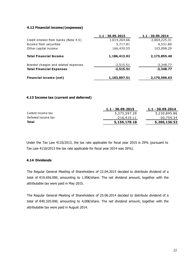#### **4.12 Financial income/(expenses)**

|                                       | $1.1 - 30.09.2015$ | $1.1 - 30.09, 2014$ |
|---------------------------------------|--------------------|---------------------|
| Credit interest from banks (Note 4.5) | 1,014,264.66       | 2,064,225.31        |
| Income from securities                | 5,717.81           | 6,531.80            |
| Other capital income                  | 166,430.55         | 103,098.29          |
| <b>Total Financial Income</b>         | 1,186,413.02       | 2,173,855.40        |
| Interest charges and related expenses | $-2,515.51$        | $-3,348.77$         |
| <b>Total Financial Expenses</b>       | $-2,515.51$        | $-3,348.77$         |
| <b>Financial income (net)</b>         | 1,183,897.51       | 2,170,506.63        |

#### **4.13 Income tax (current and deferred)**

| 1.1 - 30.09.2015 | $1.1 - 30.09.2014$ |
|------------------|--------------------|
| 5,375,597.29     | 5,230,895.86       |
| -216,419.11      | -30,759.34         |
| 5,159,178.18     | 5,200,136.52       |
|                  |                    |

Under the Tax Law 4110/2013, the tax rate applicable for fiscal year 2015 is 29% (pursuant to Tax Law 4110/2013 the tax rate applicable for fiscal year 2014 was 26%).

## **4.14 Dividends**

The Regular General Meeting of Shareholders of 22.04.2015 decided to distribute dividend of a total of €19.656.000, amounting to 1,95€/share. The net dividend amount, together with the attributable tax were paid in May 2015.

The Regular General Meeting of Shareholders of 25.06.2014 decided to distribute dividend of a total of €40.320.000, amounting to 4,00€/share. The net dividend amount, together with the attributable tax were paid in August 2014.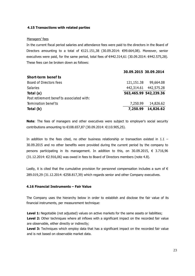#### **4.15 Transactions with related parties**

#### Managers' fees

In the current fiscal period salaries and attendance fees were paid to the directors in the Board of Directors amounting to a total of €121.151,38 (30.09.2014: €99.664,08). Moreover, senior executives were paid, for the same period, total fees of €442.314,61 (30.09.2014: €442.575,28). These fees can be broken down as follows:

|                                           | 30.09.2015 30.09.2014 |                       |
|-------------------------------------------|-----------------------|-----------------------|
| Short-term benef ts                       |                       |                       |
| Board of Directors fees                   | 121,151.38            | 99,664.08             |
| <b>Salaries</b>                           | 442,314.61            | 442,575.28            |
| Total (a)                                 |                       | 563,465.99 542,239.36 |
| Post retirement benef ts associated with: |                       |                       |
| Termination benef ts                      | 7,250.99              | 14,826.62             |
| Total (b)                                 | 7,250.99              | 14,826.62             |

**Note**: The fees of managers and other executives were subject to employer's social security contributions amounting to €108.657,87 (30.09.2014: €110.905,25).

In addition to the fees cited, no other business relationship or transaction existed in  $1.1$  – 30.09.2015 and no other benefits were provided during the current period by the company to persons participating in its management. In addition to this, on 30.09.2015,  $\epsilon$  3.716,96  $(31.12.2014: \text{€}2.916,06)$  was owed in fees to Board of Directors members (note 4.8).

Lastly, it is cited that the cumulative provision for personnel compensation includes a sum of  $\epsilon$ 289.019,29 (31.12.2014: €258.817,39) which regards senior and other Company executives.

#### **4.16 Financial Instruments – Fair Value**

The Company uses the hierarchy below in order to establish and disclose the fair value of its financial instruments, per measurement technique:

**Level 1:** Negotiable (not adjusted) values on active markets for the same assets or liabilities; Level 2: Other techniques where all inflows with a significant impact on the recorded fair value are observable, either directly or indirectly;

**Level 3:** Techniques which employ data that has a significant impact on the recorded fair value and is not based on observable market data.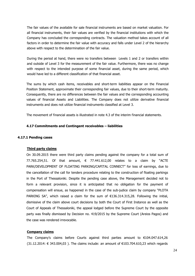The fair values of the available for sale financial instruments are based on market valuation. For all financial instruments, their fair values are verified by the financial institutions with which the Company has concluded the corresponding contracts. The valuation method takes account of all factors in order to determine the fair value with accuracy and falls under Level 2 of the hierarchy above with respect to the determination of the fair value.

During the period at hand, there were no transfers between Levels 1 and 2 or transfers within and outside of Level 3 for the measurement of the fair value. Furthermore, there was no change with respect to the intended purpose of some financial asset, during the same period, which would have led to a different classification of that financial asset.

The sums by which cash items, receivables and short-term liabilities appear on the Financial Position Statement, approximate their corresponding fair values, due to their short-term maturity. Consequently, there are no differences between the fair values and the corresponding accounting values of financial Assets and Liabilities. The Company does not utilize derivative financial instruments and does not utilize financial instruments classified at Level 3.

The movement of financial assets is illustrated in note 4.3 of the interim financial statements.

#### **4.17 Commitments and Contingent receivables – liabilities**

#### **4.17.1 Pending cases**

#### **Third party claims**

On 30.09.2015 there were third party claims pending against the company for a total sum of 77.765.254,51. Of that amount, € 77.441.612,00 relates to a claim by "ΑCTE PARK/DEVELOPMENT OF FLOATING PARKING/CAPITAL CONNECT" for loss of earnings, due to the cancellation of the call for tenders procedure relating to the construction of floating parkings in the Port of Thessaloniki. Despite the pending case above, the Management decided not to form a relevant provision, since it is anticipated that no obligation for the payment of compensation will ensue, as happened in the case of the sub-judice claim by company "PLOTA PARKING SA", which raised a claim for the sum of €136.314.315,28. Following the initial, dismissive of the claim above court decisions by both the Court of First Instance as well as the Court of Appeals of Thessaloniki, the appeal lodged before the Supreme Court by the opposite party was finally dismissed by Decision no. 419/2015 by the Supreme Court (Areios Pagos) and the case was rendered irrevocable.

#### **Company claims**

The Company's claims before Courts against third parties amount to  $€104.047.614,26$  $(31.12.2014: € 343.004.03)$ . The claims include: an amount of €103.704.610.23 which regards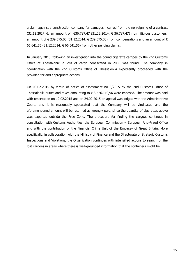a claim against a construction company for damages incurred from the non-signing of a contract (31.12.2014:-); an amount of €36.787,47 (31.12.2014: € 36,787.47) from litigious customers, an amount of  $\in$  239,575,00 (31,12,2014;  $\in$  239,575,00) from compensations and an amount of  $\in$ 66,641.56 (31.12.2014: € 66,641.56) from other pending claims.

In January 2015, following an investigation into the bound cigarette cargoes by the 2nd Customs Office of Thessaloniki a loss of cargo confiscated in 2000 was found. The company in coordination with the 2nd Customs Office of Thessaloniki expediently proceeded with the provided for and appropriate actions.

On 03.02.2015 by virtue of notice of assessment no 3/2015 by the 2nd Customs Office of Thessaloniki duties and taxes amounting to  $\epsilon$  3.526.110,96 were imposed. The amount was paid with reservation on 12.02.2015 and on 24.02.2015 an appeal was lodged with the Administrative Courts and it is reasonably speculated that the Company will be vindicated and the aforementioned amount will be returned as wrongly paid, since the quantity of cigarettes above was exported outside the Free Zone. The procedure for finding the cargoes continues in consultation with Customs Authorities, the European Commission – European Anti-Fraud Office and with the contribution of the Financial Crime Unit of the Embassy of Great Britain. More specifically, in collaboration with the Ministry of Finance and the Directorate of Strategic Customs Inspections and Violations, the Organization continues with intensified actions to search for the lost cargoes in areas where there is well-grounded information that the containers might be.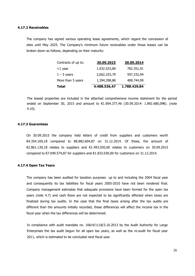#### **4.17.2 Receivables**

The company has signed various operating lease agreements, which regard the concession of sites until May 2025. The Company's minimum future receivables under those leases can be broken down as follows, depending on their maturity:

| Contracts of up to: | 30.09.2015   | 30.09.2014   |
|---------------------|--------------|--------------|
| $<$ 1 year          | 1.032.033,80 | 782.351,91   |
| $1 - 5$ years       | 2,062,103,79 | 597,332,94   |
| More than 5 years   | 1,394,398,88 | 408.744,99   |
| <b>Total</b>        | 4.488.536,47 | 1.788.429,84 |

The leased properties are included in the attached comprehensive income statement for the period ended on September 30, 2015 and amount to €1.904.377,46 (30.09.2014: 1.892.680,09€). (note 4.10).

#### **4.17.3 Guarantees**

On 30.09.2015 the company held letters of credit from suppliers and customers worth €4.354.169,18 compared to €8.882.604,87 on 31.12.2014. Of these, the amount of €2.861.139,18 relates to suppliers and €1.493.030,00 relates to customers on 30.09.2015 compared to  $\epsilon$ 7.049.574,87 for suppliers and  $\epsilon$ 1.833.030,00 for customers on 31.12.2014.

#### **4.17.4 Open Tax Years**

The company has been audited for taxation purposes up to and including the 2004 fiscal year and consequently its tax liabilities for fiscal years 2005-2010 have not been rendered final. Company management estimates that adequate provisions have been formed for the open tax years (note 4.7) and cash flows are not expected to be significantly affected when taxes are finalized during tax audits. In the case that the final taxes arising after the tax audits are different than the amounts initially recorded, these differences will affect the income tax in the fiscal year when the tax differences will be determined.

In compliance with audit mandate no. 106/4/1118/3.10.2013 by the Audit Authority for Large Enterprises the tax audit begun for all open tax years, as well as the re-audit for fiscal year 2011, which is estimated to be concluded next fiscal year.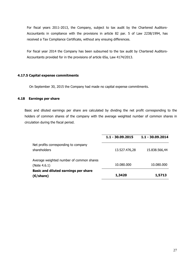For fiscal years 2011-2013, the Company, subject to tax audit by the Chartered Auditors-Accountants in compliance with the provisions in article 82 par. 5 of Law 2238/1994, has received a Tax Compliance Certificate, without any ensuing differences.

For fiscal year 2014 the Company has been subsumed to the tax audit by Chartered Auditors-Accountants provided for in the provisions of article 65a, Law 4174/2013.

#### **4.17.5 Capital expense commitments**

On September 30, 2015 the Company had made no capital expense commitments.

#### **4.18 Earnings per share**

Basic and diluted earnings per share are calculated by dividing the net profit corresponding to the holders of common shares of the company with the average weighted number of common shares in circulation during the fiscal period.

|                                                            | 1.1 - 30.09.2015 | 1.1 - 30.09.2014 |
|------------------------------------------------------------|------------------|------------------|
| Net profits corresponding to company<br>shareholders       | 13.527.476,28    | 15.838.566,44    |
| Average weighted number of common shares<br>(Note 4.6.1)   | 10.080.000       | 10.080.000       |
| Basic and diluted earnings per share<br>$(E/\text{share})$ | 1,3420           | 1,5713           |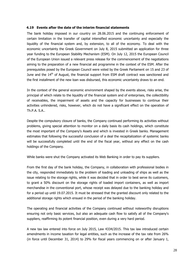#### **4.19 Events after the date of the interim financial statements**

The bank holiday imposed in our country on 28.06.2015 and the continuing enforcement of certain limitation in the transfer of capital intensified economic uncertainty and especially the liquidity of the financial system and, by extension, to all of the economy. To deal with the economic uncertainty the Greek Government on July 8, 2015 submitted an application for three year funding to the European Stability Mechanism (ESM). On July 12, 2015 the European Council of the European Union issued a relevant press release for the commencement of the negotiations aiming to the preparation of a new financial aid programme in the context of the ESM. After the prerequisites posed by the European Council were voted by the Greek Parliament on 15 and 23 of June and the  $14<sup>th</sup>$  of August, the financial support from ESM draft contract was sanctioned and the first installment of the new loan was disbursed, this economic uncertainty draws to an end.

In the context of the general economic environment shaped by the events above, risks arise, the principal of which relate to the liquidity of the financial system and of enterprises, the collectibility of receivables, the impairment of assets and the capacity for businesses to continue their activities unhindered, risks, however, which do not have a significant effect on the operation of Th.P.A. S.A..

Despite the compulsory closure of banks, the Company continued performing its activities without problems, giving special attention to monitor on a daily basis its cash holdings, which constitute the most important of the Company's Assets and which is invested in Greek banks. Management estimates that following the successful conclusion of a deal the recapitalization of systemic banks will be successfully completed until the end of the fiscal year, without any effect on the cash holdings of the Company.

While banks were shut the Company activated its Web Banking in order to pay its suppliers.

From the first day of the bank holiday, the Company, in collaboration with professional bodies in the city, responded immediately to the problem of loading and unloading of ships as well as the issue relating to the storage rights, while it was decided that in order to best serve its customers, to grant a 50% discount on the storage rights of loaded import containers, as well as import merchandise in the conventional port, whose receipt was delayed due to the banking holiday and for a period up until 19.07.2015. It must be stressed that the granted discount only related to the additional storage rights which ensued in the period of the banking holiday.

The operating and financial activities of the Company continued without noteworthy disruptions ensuring not only basic services, but also an adequate cash flow to satisfy all of the Company's suppliers, reaffirming its potent financial position, even during a very hard period.

A new tax law entered into force on July 2015, Law 4334/2015. This tax law introduced certain amendments in income taxation for legal entities, such as the increase of the tax rate from 26% (in force until December 31, 2014) to 29% for fiscal years commencing on or after January 1,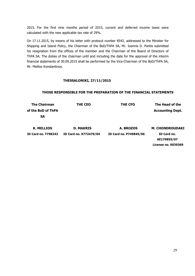2015. For the first nine months period of 2015, current and deferred income taxes were calculated with the new applicable tax rate of 29%.

On 17.11.2015, by means of his letter with protocol number 8542, addressed to the Minister for Shipping and Island Policy, the Chairman of the BoD/ThPA SA, Mr. Ioannis D. Pantis submitted his resignation from the offices of the member and the Chairman of the Board of Directors of ThPA SA. The duties of the chairman until and including the date for the approval of the interim financial statements of 30.09.2015 shall be performed by the Vice-Chairman of the BoD/ThPA SA, Mr. Mellios Konstantinos.

## **THESSALONIKI, 27/11/2015**

#### **THOSE RESPONSIBLE FOR THE PREPARATION OF THE FINANCIAL STATEMENTS**

| <b>The Chairman</b><br>of the BoD of ThPA<br><b>SA</b> | THE CEO                | THE CFO                | The Head of the<br><b>Accounting Dept.</b>        |  |
|--------------------------------------------------------|------------------------|------------------------|---------------------------------------------------|--|
| <b>K. MELLIOS</b>                                      | <b>D. MAKRIS</b>       | A. BROZOS              | <b>M. CHONDROUDAKI</b>                            |  |
| <b>ID Card no. T798243</b>                             | ID Card no. X772479/04 | ID Card no. P749845/96 | ID Card no.<br>AE179855/07<br>License no. 0039369 |  |